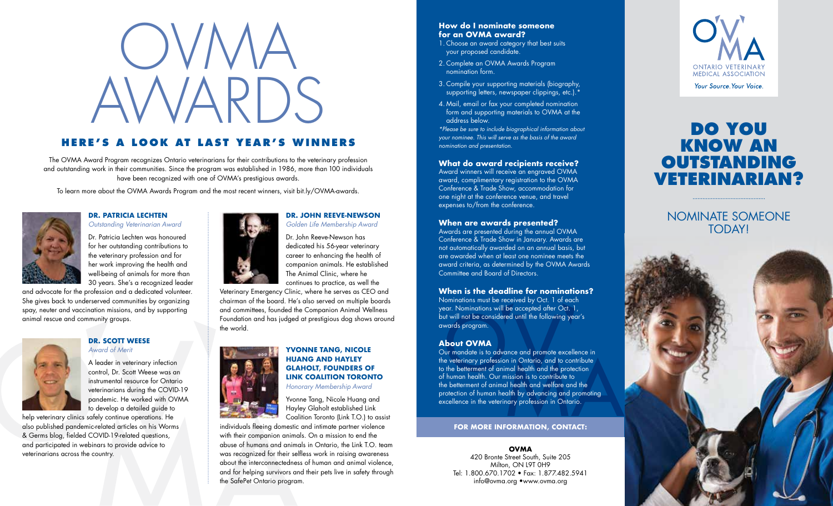# OVMA. AWARDS

### **HERE'S A LOOK AT LAST YEAR'S WINNERS**

The OVMA Award Program recognizes Ontario veterinarians for their contributions to the veterinary profession and outstanding work in their communities. Since the program was established in 1986, more than 100 individuals have been recognized with one of OVMA's prestigious awards.

To learn more about the OVMA Awards Program and the most recent winners, visit bit.ly/OVMA-awards.



### **DR. PATRICIA LECHTEN** *Outstanding Veterinarian Award*

Dr. Patricia Lechten was honoured for her outstanding contributions to the veterinary profession and for her work improving the health and well-being of animals for more than 30 years. She's a recognized leader

and advocate for the profession and a dedicated volunteer. She gives back to underserved communities by organizing spay, neuter and vaccination missions, and by supporting animal rescue and community groups.



### **DR. SCOTT WEESE** *Award of Merit*

A leader in veterinary infection control, Dr. Scott Weese was an instrumental resource for Ontario veterinarians during the COVID-19 pandemic. He worked with OVMA to develop a detailed guide to

help veterinary clinics safely continue operations. He also published pandemic-related articles on his Worms & Germs blog, fielded COVID-19-related questions, and participated in webinars to provide advice to veterinarians across the country.

### **DR. JOHN REEVE-NEWSON** *Golden Life Membership Award*

Dr. John Reeve-Newson has dedicated his 56-year veterinary career to enhancing the health of companion animals. He established The Animal Clinic, where he continues to practice, as well the

Veterinary Emergency Clinic, where he serves as CEO and chairman of the board. He's also served on multiple boards and committees, founded the Companion Animal Wellness Foundation and has judged at prestigious dog shows around the world.



### **YVONNE TANG, NICOLE HUANG AND HAYLEY GLAHOLT, FOUNDERS OF LINK COALITION TORONTO** *Honorary Membership Award*

Yvonne Tang, Nicole Huang and Hayley Glaholt established Link Coalition Toronto (Link T.O.) to assist

individuals fleeing domestic and intimate partner violence with their companion animals. On a mission to end the abuse of humans and animals in Ontario, the Link T.O. team was recognized for their selfless work in raising awareness about the interconnectedness of human and animal violence, and for helping survivors and their pets live in safety through the SafePet Ontario program.

### **How do I nominate someone for an OVMA award?** 1. Choose an award category that best suits

your proposed candidate. 2. Complete an OVMA Awards Program nomination form.

- 3. Compile your supporting materials (biography, supporting letters, newspaper clippings, etc.).\*
- 4. Mail, email or fax your completed nomination form and supporting materials to OVMA at the address below.

*\*Please be sure to include biographical information about your nominee. This will serve as the basis of the award nomination and presentation.*

### **What do award recipients receive?**

Award winners will receive an engraved OVMA award, complimentary registration to the OVMA Conference & Trade Show, accommodation for one night at the conference venue, and travel expenses to/from the conference.

### **When are awards presented?**

Awards are presented during the annual OVMA Conference & Trade Show in January. Awards are not automatically awarded on an annual basis, but are awarded when at least one nominee meets the award criteria, as determined by the OVMA Awards Committee and Board of Directors.

### **When is the deadline for nominations?**

Nominations must be received by Oct. 1 of each year. Nominations will be accepted after Oct. 1, but will not be considered until the following year's awards program.

### **About OVMA**

Our mandate is to advance and promote excellence in the veterinary profession in Ontario, and to contribute to the betterment of animal health and the protection of human health. Our mission is to contribute to the betterment of animal health and welfare and the protection of human health by advancing and promoting excellence in the veterinary profession in Ontario.

### **FOR MORE INFORMATION, CONTACT:**

**OVMA**

420 Bronte Street South, Suite 205 Milton, ON L9T 0H9 Tel: 1.800.670.1702 • Fax: 1.877.482.5941 info@ovma.org •www.ovma.org



### **DO YOU KNOW AN OUTSTANDING VETERINARIAN?**

NOMINATE SOMEONE **TODAYI**